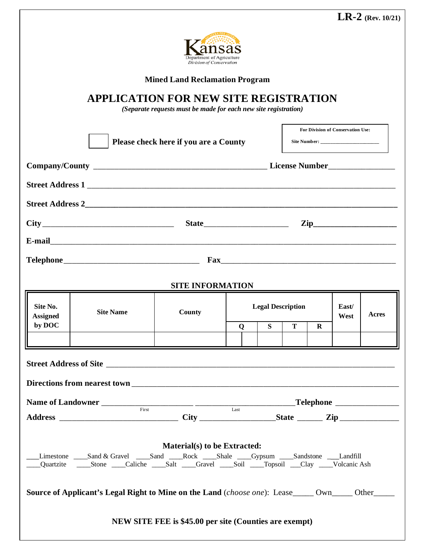|                                                                                                                 | <b>LR-2</b> (Rev. 10/21)                          |
|-----------------------------------------------------------------------------------------------------------------|---------------------------------------------------|
| Department of Agriculture<br>Division of Conservation                                                           |                                                   |
| <b>Mined Land Reclamation Program</b>                                                                           |                                                   |
| <b>APPLICATION FOR NEW SITE REGISTRATION</b><br>(Separate requests must be made for each new site registration) |                                                   |
|                                                                                                                 | For Division of Conservation Use:<br>Site Number: |
| Please check here if you are a County                                                                           |                                                   |

## **SITE INFORMATION**

**Telephone**\_\_\_\_\_\_\_\_\_\_\_\_\_\_\_\_\_\_\_\_\_\_\_\_\_\_\_\_\_\_\_\_ **Fax**\_\_\_\_\_\_\_\_\_\_\_\_\_\_\_\_\_\_\_\_\_\_\_\_\_\_\_\_\_\_\_\_\_\_\_\_\_\_\_\_\_\_

**Street Address 1** \_\_\_\_\_\_\_\_\_\_\_\_\_\_\_\_\_\_\_\_\_\_\_\_\_\_\_\_\_\_\_\_\_\_\_\_\_\_\_\_\_\_\_\_\_\_\_\_\_\_\_\_\_\_\_\_\_\_\_\_\_\_\_\_\_\_\_\_\_\_\_\_\_\_

**Street Address 2\_\_\_\_\_\_\_\_\_\_\_\_\_\_\_\_\_\_\_\_\_\_\_\_\_\_\_\_\_\_\_\_\_\_\_\_\_\_\_\_\_\_\_\_\_\_\_\_\_\_\_\_\_\_\_\_\_\_\_\_\_\_\_\_\_\_\_\_\_\_\_\_\_\_\_**

**City** \_\_\_\_\_\_\_\_\_\_\_\_\_\_\_\_\_\_\_\_\_\_\_\_\_\_\_\_\_\_\_ **State**\_\_\_\_\_\_\_\_\_\_\_\_\_\_\_\_\_\_\_\_ **Zip\_\_\_\_\_\_\_\_\_\_\_\_\_\_\_\_\_\_\_\_**

**E-mail**\_\_\_\_\_\_\_\_\_\_\_\_\_\_\_\_\_\_\_\_\_\_\_\_\_\_\_\_\_\_\_\_\_\_\_\_\_\_\_\_\_\_\_\_\_\_\_\_\_\_\_\_\_\_\_\_\_\_\_\_\_\_\_\_\_\_\_\_\_\_\_\_\_\_\_\_\_\_\_\_\_\_\_

| Site No.<br><b>Assigned</b>                                                                                                  | <b>Site Name</b>                                                                                                   | County                                                 |             | <b>Legal Description</b> |     |          | East/<br>West | Acres |
|------------------------------------------------------------------------------------------------------------------------------|--------------------------------------------------------------------------------------------------------------------|--------------------------------------------------------|-------------|--------------------------|-----|----------|---------------|-------|
| by DOC                                                                                                                       |                                                                                                                    |                                                        | $\mathbf 0$ | S                        | T – | $\bf{R}$ |               |       |
|                                                                                                                              |                                                                                                                    |                                                        |             |                          |     |          |               |       |
|                                                                                                                              |                                                                                                                    |                                                        |             |                          |     |          |               |       |
|                                                                                                                              |                                                                                                                    |                                                        |             |                          |     |          |               |       |
|                                                                                                                              |                                                                                                                    |                                                        |             |                          |     |          |               |       |
| Material(s) to be Extracted:<br>Limestone ____Sand & Gravel ____Sand ____Rock ____Shale ____Gypsum ____Sandstone ___Landfill |                                                                                                                    |                                                        |             |                          |     |          |               |       |
|                                                                                                                              | <b>Source of Applicant's Legal Right to Mine on the Land</b> ( <i>choose one</i> ): Lease_____ Own_____ Other_____ |                                                        |             |                          |     |          |               |       |
|                                                                                                                              |                                                                                                                    | NEW SITE FEE is \$45.00 per site (Counties are exempt) |             |                          |     |          |               |       |